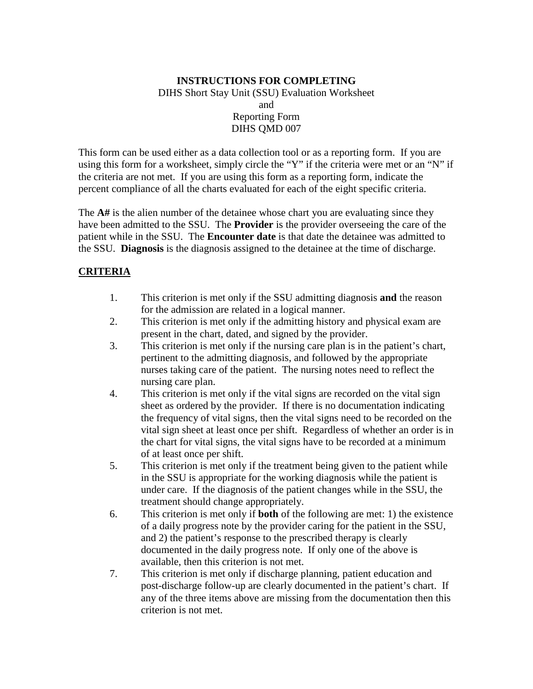## **INSTRUCTIONS FOR COMPLETING**  DIHS Short Stay Unit (SSU) Evaluation Worksheet and Reporting Form DIHS QMD 007

This form can be used either as a data collection tool or as a reporting form. If you are using this form for a worksheet, simply circle the "Y" if the criteria were met or an "N" if the criteria are not met. If you are using this form as a reporting form, indicate the percent compliance of all the charts evaluated for each of the eight specific criteria.

The **A#** is the alien number of the detainee whose chart you are evaluating since they have been admitted to the SSU. The **Provider** is the provider overseeing the care of the patient while in the SSU. The **Encounter date** is that date the detainee was admitted to the SSU. **Diagnosis** is the diagnosis assigned to the detainee at the time of discharge.

## **CRITERIA**

- 1. This criterion is met only if the SSU admitting diagnosis **and** the reason for the admission are related in a logical manner.
- 2. This criterion is met only if the admitting history and physical exam are present in the chart, dated, and signed by the provider.
- 3. This criterion is met only if the nursing care plan is in the patient's chart, pertinent to the admitting diagnosis, and followed by the appropriate nurses taking care of the patient. The nursing notes need to reflect the nursing care plan.
- 4. This criterion is met only if the vital signs are recorded on the vital sign sheet as ordered by the provider. If there is no documentation indicating the frequency of vital signs, then the vital signs need to be recorded on the vital sign sheet at least once per shift. Regardless of whether an order is in the chart for vital signs, the vital signs have to be recorded at a minimum of at least once per shift.
- 5. This criterion is met only if the treatment being given to the patient while in the SSU is appropriate for the working diagnosis while the patient is under care. If the diagnosis of the patient changes while in the SSU, the treatment should change appropriately.
- 6. This criterion is met only if **both** of the following are met: 1) the existence of a daily progress note by the provider caring for the patient in the SSU, and 2) the patient's response to the prescribed therapy is clearly documented in the daily progress note. If only one of the above is available, then this criterion is not met.
- 7. This criterion is met only if discharge planning, patient education and post-discharge follow-up are clearly documented in the patient's chart. If any of the three items above are missing from the documentation then this criterion is not met.